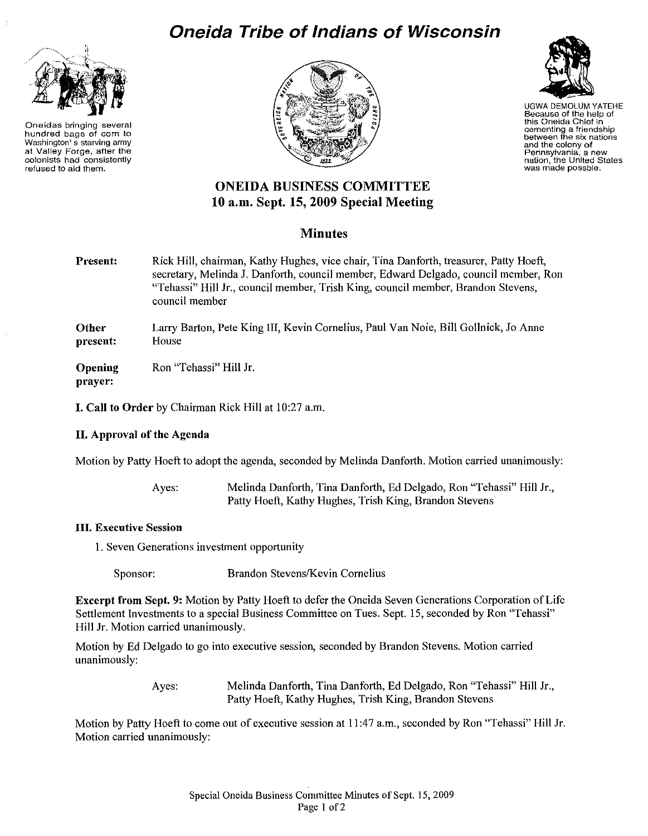

Oneidas bringing several hundred bags of corn to Washington's starving army at Valley Forge, after the colonists had consistently refused to aid them.







UGWA DEMOLUM YATEHE Because of the help of this Oneida Chief in cementing a friendship between the six nations and the colony of Pennsylvania, <sup>a</sup> new nation, the United States was made possble.

# ONEIDA BUSINESS COMMITTEE 10 a.m, Sept. 15,2009 Special Meeting

## **Minutes**

Present: Rick Hill, chairman, Kathy Hughes, vice chair, Tina Danforth, treasurer, Patty Hoeft, secretary, Melinda J. Danforth, council member, Edward Delgado, council member, Ron "Tehassi" Hill Jr., council member, Trish King, council member, Brandon Stevens, council member

**Other** present: Larry Barton, Pete King III, Kevin Cornelius, Paul Van Noie, Bill Gollnick, Jo Anne House

**Opening** prayer: Ron "Tehassi" Hill Jr.

I. Call to Order by Chairman Rick Hill at 10:27 a.m.

### II. Approval of the Agenda

Motion by Patty Hoeft to adopt the agenda, seconded by Melinda Danforth. Motion carried unanimously:

Ayes: Melinda Danforth, Tina Danforth, Ed Delgado, Ron "Tehassi" Hill Jr., Patty Hoeft, Kathy Hughes, Trish King, Brandon Stevens

### III. Executive Session

1. Seven Generations investment opportunity

Sponsor: Brandon Stevens/Kevin Cornelius

**Excerpt from Sept. 9:** Motion by Patty Hoeft to defer the Oneida Seven Generations Corporation of Life Settlement Investments to a special Business Committee on Tues. Sept. 15, seconded by Ron "Tehassi" Hill Jr. Motion carried unanimously.

Motion by Ed Delgado to go into executive session, seconded by Brandon Stevens. Motion carried unanimously:

> Ayes: Melinda Danforth, Tina Danforth, Ed Delgado, Ron "Tehassi" Hill Jr., Patty Hoeft, Kathy Hughes, Trish King, Brandon Stevens

Motion by Patty Hoeft to come out of executive session at 11:47 a.m., seconded by Ron "Tehassi" Hill Jr. Motion carried unanimously: